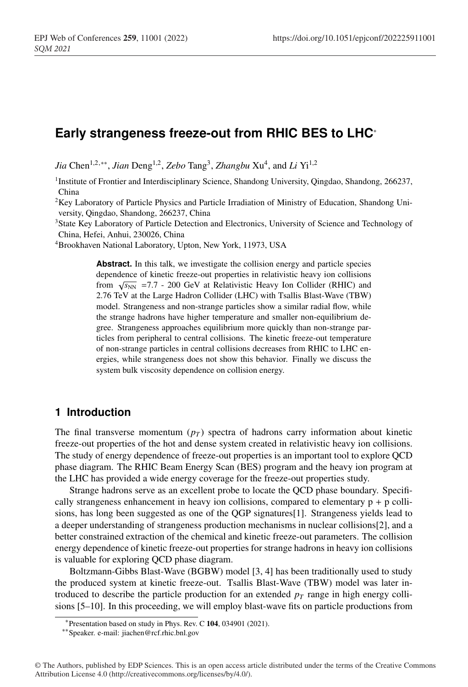# **Early strangeness freeze-out from RHIC BES to LHC**<sup>∗</sup>

*Jia* Chen<sup>1,2,∗∗</sup>, *Jian* Deng<sup>1,2</sup>, *Zebo* Tang<sup>3</sup>, *Zhangbu* Xu<sup>4</sup>, and *Li* Yi<sup>1,2</sup>

<sup>1</sup>Institute of Frontier and Interdisciplinary Science, Shandong University, Qingdao, Shandong, 266237, China

<sup>2</sup>Key Laboratory of Particle Physics and Particle Irradiation of Ministry of Education, Shandong University, Qingdao, Shandong, 266237, China

<sup>3</sup>State Key Laboratory of Particle Detection and Electronics, University of Science and Technology of China, Hefei, Anhui, 230026, China

4Brookhaven National Laboratory, Upton, New York, 11973, USA

Abstract. In this talk, we investigate the collision energy and particle species dependence of kinetic freeze-out properties in relativistic heavy ion collisions from  $\sqrt{s_{NN}}$  =7.7 - 200 GeV at Relativistic Heavy Ion Collider (RHIC) and 2.76 TeV at the Large Hadron Collider (LHC) with Tsallis Blast-Wave (TBW) model. Strangeness and non-strange particles show a similar radial flow, while the strange hadrons have higher temperature and smaller non-equilibrium degree. Strangeness approaches equilibrium more quickly than non-strange particles from peripheral to central collisions. The kinetic freeze-out temperature of non-strange particles in central collisions decreases from RHIC to LHC energies, while strangeness does not show this behavior. Finally we discuss the system bulk viscosity dependence on collision energy.

### **1 Introduction**

The final transverse momentum  $(p_T)$  spectra of hadrons carry information about kinetic freeze-out properties of the hot and dense system created in relativistic heavy ion collisions. The study of energy dependence of freeze-out properties is an important tool to explore QCD phase diagram. The RHIC Beam Energy Scan (BES) program and the heavy ion program at the LHC has provided a wide energy coverage for the freeze-out properties study.

Strange hadrons serve as an excellent probe to locate the QCD phase boundary. Specifically strangeness enhancement in heavy ion collisions, compared to elementary  $p + p$  collisions, has long been suggested as one of the QGP signatures[1]. Strangeness yields lead to a deeper understanding of strangeness production mechanisms in nuclear collisions[2], and a better constrained extraction of the chemical and kinetic freeze-out parameters. The collision energy dependence of kinetic freeze-out properties for strange hadrons in heavy ion collisions is valuable for exploring QCD phase diagram.

Boltzmann-Gibbs Blast-Wave (BGBW) model [3, 4] has been traditionally used to study the produced system at kinetic freeze-out. Tsallis Blast-Wave (TBW) model was later introduced to describe the particle production for an extended  $p_T$  range in high energy collisions [5–10]. In this proceeding, we will employ blast-wave fits on particle productions from

<sup>∗</sup>Presentation based on study in Phys. Rev. C 104, 034901 (2021).

<sup>∗∗</sup>Speaker. e-mail: jiachen@rcf.rhic.bnl.gov

<sup>©</sup> The Authors, published by EDP Sciences. This is an open access article distributed under the terms of the Creative Commons Attribution License 4.0 (http://creativecommons.org/licenses/by/4.0/).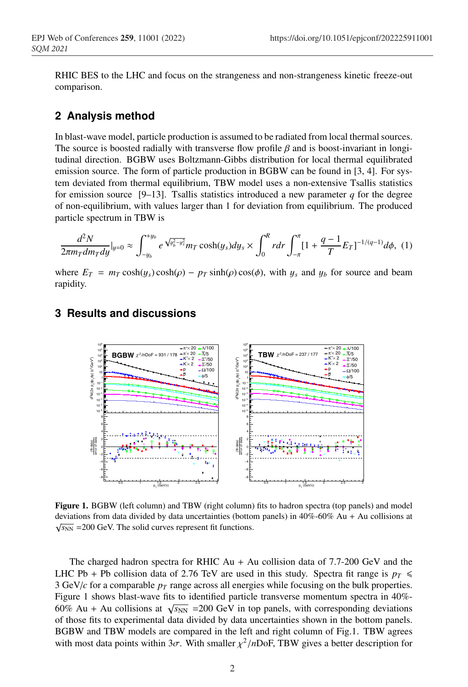RHIC BES to the LHC and focus on the strangeness and non-strangeness kinetic freeze-out comparison.

## **2 Analysis method**

In blast-wave model, particle production is assumed to be radiated from local thermal sources. The source is boosted radially with transverse flow profile  $\beta$  and is boost-invariant in longitudinal direction. BGBW uses Boltzmann-Gibbs distribution for local thermal equilibrated emission source. The form of particle production in BGBW can be found in [3, 4]. For system deviated from thermal equilibrium, TBW model uses a non-extensive Tsallis statistics for emission source  $[9-13]$ . Tsallis statistics introduced a new parameter *q* for the degree of non-equilibrium, with values larger than 1 for deviation from equilibrium. The produced particle spectrum in TBW is

$$
\frac{d^2N}{2\pi m_T d m_T d y}|_{y=0} \approx \int_{-y_b}^{+y_b} e^{\sqrt{y_b^2 - y_s^2}} m_T \cosh(y_s) dy_s \times \int_0^R r dr \int_{-\pi}^{\pi} [1 + \frac{q-1}{T} E_T]^{-1/(q-1)} d\phi, (1)
$$

where  $E_T = m_T \cosh(y_s) \cosh(\rho) - p_T \sinh(\rho) \cos(\phi)$ , with  $y_s$  and  $y_b$  for source and beam rapidity.

### **3 Results and discussions**



Figure 1. BGBW (left column) and TBW (right column) fits to hadron spectra (top panels) and model deviations from data divided by data uncertainties (bottom panels) in 40%-60% Au + Au collisions at  $\sqrt{s_{NN}}$  = 200 GeV. The solid curves represent fit functions.

The charged hadron spectra for RHIC  $Au + Au$  collision data of 7.7-200 GeV and the LHC Pb + Pb collision data of 2.76 TeV are used in this study. Spectra fit range is  $p_T \leq$ 3 GeV/ $c$  for a comparable  $p<sub>T</sub>$  range across all energies while focusing on the bulk properties. Figure 1 shows blast-wave fits to identified particle transverse momentum spectra in 40%- 60% Au + Au collisions at  $\sqrt{s_{NN}}$  =200 GeV in top panels, with corresponding deviations of those fits to experimental data divided by data uncertainties shown in the bottom panels. BGBW and TBW models are compared in the left and right column of Fig.1. TBW agrees with most data points within 3 $\sigma$ . With smaller  $\chi^2/n$ DoF, TBW gives a better description for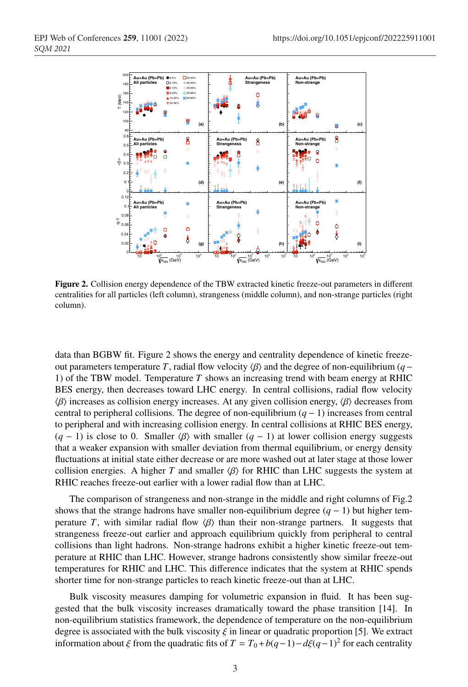

Figure 2. Collision energy dependence of the TBW extracted kinetic freeze-out parameters in different centralities for all particles (left column), strangeness (middle column), and non-strange particles (right column).

data than BGBW fit. Figure 2 shows the energy and centrality dependence of kinetic freezeout parameters temperature *T*, radial flow velocity  $\langle \beta \rangle$  and the degree of non-equilibrium (*q*− 1) of the TBW model. Temperature *T* shows an increasing trend with beam energy at RHIC BES energy, then decreases toward LHC energy. In central collisions, radial flow velocity  $\langle \beta \rangle$  increases as collision energy increases. At any given collision energy,  $\langle \beta \rangle$  decreases from central to peripheral collisions. The degree of non-equilibrium  $(q - 1)$  increases from central to peripheral and with increasing collision energy. In central collisions at RHIC BES energy,  $(q - 1)$  is close to 0. Smaller  $\langle \beta \rangle$  with smaller  $(q - 1)$  at lower collision energy suggests that a weaker expansion with smaller deviation from thermal equilibrium, or energy density fluctuations at initial state either decrease or are more washed out at later stage at those lower collision energies. A higher *T* and smaller  $\langle \beta \rangle$  for RHIC than LHC suggests the system at RHIC reaches freeze-out earlier with a lower radial flow than at LHC.

The comparison of strangeness and non-strange in the middle and right columns of Fig.2 shows that the strange hadrons have smaller non-equilibrium degree  $(q - 1)$  but higher temperature *T*, with similar radial flow  $\langle \beta \rangle$  than their non-strange partners. It suggests that strangeness freeze-out earlier and approach equilibrium quickly from peripheral to central collisions than light hadrons. Non-strange hadrons exhibit a higher kinetic freeze-out temperature at RHIC than LHC. However, strange hadrons consistently show similar freeze-out temperatures for RHIC and LHC. This difference indicates that the system at RHIC spends shorter time for non-strange particles to reach kinetic freeze-out than at LHC.

Bulk viscosity measures damping for volumetric expansion in fluid. It has been suggested that the bulk viscosity increases dramatically toward the phase transition [14]. In non-equilibrium statistics framework, the dependence of temperature on the non-equilibrium degree is associated with the bulk viscosity  $\xi$  in linear or quadratic proportion [5]. We extract information about  $\xi$  from the quadratic fits of  $T = T_0 + b(q-1) - d\xi(q-1)^2$  for each centrality